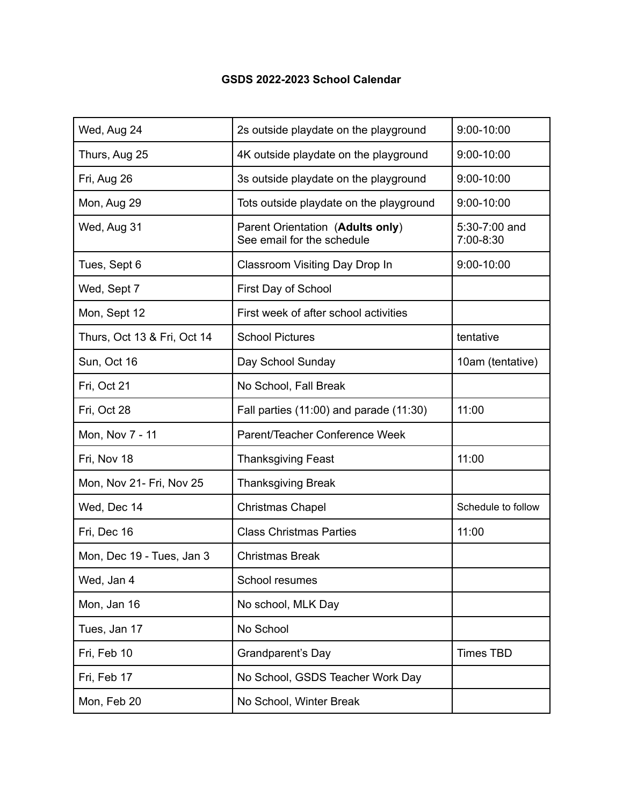## **GSDS 2022-2023 School Calendar**

| Wed, Aug 24                 | 2s outside playdate on the playground                          | $9:00-10:00$               |
|-----------------------------|----------------------------------------------------------------|----------------------------|
| Thurs, Aug 25               | 4K outside playdate on the playground                          | $9:00-10:00$               |
| Fri, Aug 26                 | 3s outside playdate on the playground                          | $9:00 - 10:00$             |
| Mon, Aug 29                 | Tots outside playdate on the playground                        | $9:00 - 10:00$             |
| Wed, Aug 31                 | Parent Orientation (Adults only)<br>See email for the schedule | 5:30-7:00 and<br>7:00-8:30 |
| Tues, Sept 6                | Classroom Visiting Day Drop In                                 | $9:00 - 10:00$             |
| Wed, Sept 7                 | First Day of School                                            |                            |
| Mon, Sept 12                | First week of after school activities                          |                            |
| Thurs, Oct 13 & Fri, Oct 14 | <b>School Pictures</b>                                         | tentative                  |
| Sun, Oct 16                 | Day School Sunday                                              | 10am (tentative)           |
| Fri, Oct 21                 | No School, Fall Break                                          |                            |
| Fri, Oct 28                 | Fall parties (11:00) and parade (11:30)                        | 11:00                      |
| Mon, Nov 7 - 11             | Parent/Teacher Conference Week                                 |                            |
| Fri, Nov 18                 | <b>Thanksgiving Feast</b>                                      | 11:00                      |
| Mon, Nov 21- Fri, Nov 25    | <b>Thanksgiving Break</b>                                      |                            |
| Wed, Dec 14                 | <b>Christmas Chapel</b>                                        | Schedule to follow         |
| Fri, Dec 16                 | <b>Class Christmas Parties</b>                                 | 11:00                      |
| Mon, Dec 19 - Tues, Jan 3   | <b>Christmas Break</b>                                         |                            |
| Wed, Jan 4                  | School resumes                                                 |                            |
| Mon, Jan 16                 | No school, MLK Day                                             |                            |
| Tues, Jan 17                | No School                                                      |                            |
| Fri, Feb 10                 | Grandparent's Day                                              | <b>Times TBD</b>           |
| Fri, Feb 17                 | No School, GSDS Teacher Work Day                               |                            |
| Mon, Feb 20                 | No School, Winter Break                                        |                            |